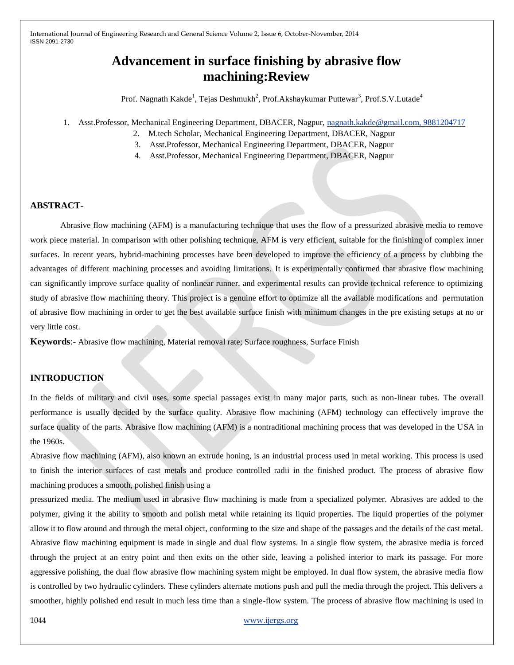# **Advancement in surface finishing by abrasive flow machining:Review**

Prof. Nagnath Kakde<sup>1</sup>, Tejas Deshmukh<sup>2</sup>, Prof.Akshaykumar Puttewar<sup>3</sup>, Prof.S.V.Lutade<sup>4</sup>

- 1. Asst.Professor, Mechanical Engineering Department, DBACER, Nagpur, [nagnath.kakde@gmail.com, 9881204717](mailto:nagnath.kakde@gmail.com,%209881204717)
	- 2. M.tech Scholar, Mechanical Engineering Department, DBACER, Nagpur
	- 3. Asst.Professor, Mechanical Engineering Department, DBACER, Nagpur
	- 4. Asst.Professor, Mechanical Engineering Department, DBACER, Nagpur

## **ABSTRACT-**

Abrasive flow machining (AFM) is a manufacturing technique that uses the flow of a pressurized abrasive media to remove work piece material. In comparison with other polishing technique, AFM is very efficient, suitable for the finishing of complex inner surfaces. In recent years, hybrid-machining processes have been developed to improve the efficiency of a process by clubbing the advantages of different machining processes and avoiding limitations. It is experimentally confirmed that abrasive flow machining can significantly improve surface quality of nonlinear runner, and experimental results can provide technical reference to optimizing study of abrasive flow machining theory. This project is a genuine effort to optimize all the available modifications and permutation of abrasive flow machining in order to get the best available surface finish with minimum changes in the pre existing setups at no or very little cost.

**Keywords**:- Abrasive flow machining, Material removal rate; Surface roughness, Surface Finish

# **INTRODUCTION**

In the fields of military and civil uses, some special passages exist in many major parts, such as non-linear tubes. The overall performance is usually decided by the surface quality. Abrasive flow machining (AFM) technology can effectively improve the surface quality of the parts. Abrasive flow machining (AFM) is a nontraditional machining process that was developed in the USA in the 1960s.

Abrasive flow machining (AFM), also known an extrude honing, is an industrial process used in metal working. This process is used to finish the interior surfaces of cast metals and produce controlled radii in the finished product. The process of abrasive flow machining produces a smooth, polished finish using a

pressurized media. The medium used in abrasive flow machining is made from a specialized polymer. Abrasives are added to the polymer, giving it the ability to smooth and polish metal while retaining its liquid properties. The liquid properties of the polymer allow it to flow around and through the metal object, conforming to the size and shape of the passages and the details of the cast metal. Abrasive flow machining equipment is made in single and dual flow systems. In a single flow system, the abrasive media is forced through the project at an entry point and then exits on the other side, leaving a polished interior to mark its passage. For more aggressive polishing, the dual flow abrasive flow machining system might be employed. In dual flow system, the abrasive media flow is controlled by two hydraulic cylinders. These cylinders alternate motions push and pull the media through the project. This delivers a smoother, highly polished end result in much less time than a single-flow system. The process of abrasive flow machining is used in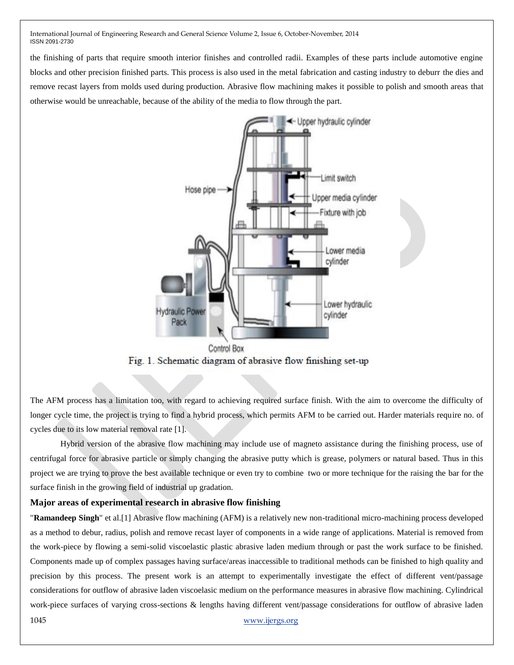the finishing of parts that require smooth interior finishes and controlled radii. Examples of these parts include automotive engine blocks and other precision finished parts. This process is also used in the metal fabrication and casting industry to deburr the dies and remove recast layers from molds used during production. Abrasive flow machining makes it possible to polish and smooth areas that otherwise would be unreachable, because of the ability of the media to flow through the part.



Fig. 1. Schematic diagram of abrasive flow finishing set-up

The AFM process has a limitation too, with regard to achieving required surface finish. With the aim to overcome the difficulty of longer cycle time, the project is trying to find a hybrid process, which permits AFM to be carried out. Harder materials require no. of cycles due to its low material removal rate [1].

Hybrid version of the abrasive flow machining may include use of magneto assistance during the finishing process, use of centrifugal force for abrasive particle or simply changing the abrasive putty which is grease, polymers or natural based. Thus in this project we are trying to prove the best available technique or even try to combine two or more technique for the raising the bar for the surface finish in the growing field of industrial up gradation.

## **Major areas of experimental research in abrasive flow finishing**

1045 www.ijergs.org "**Ramandeep Singh**" et al.[1] Abrasive flow machining (AFM) is a relatively new non-traditional micro-machining process developed as a method to debur, radius, polish and remove recast layer of components in a wide range of applications. Material is removed from the work-piece by flowing a semi-solid viscoelastic plastic abrasive laden medium through or past the work surface to be finished. Components made up of complex passages having surface/areas inaccessible to traditional methods can be finished to high quality and precision by this process. The present work is an attempt to experimentally investigate the effect of different vent/passage considerations for outflow of abrasive laden viscoelasic medium on the performance measures in abrasive flow machining. Cylindrical work-piece surfaces of varying cross-sections & lengths having different vent/passage considerations for outflow of abrasive laden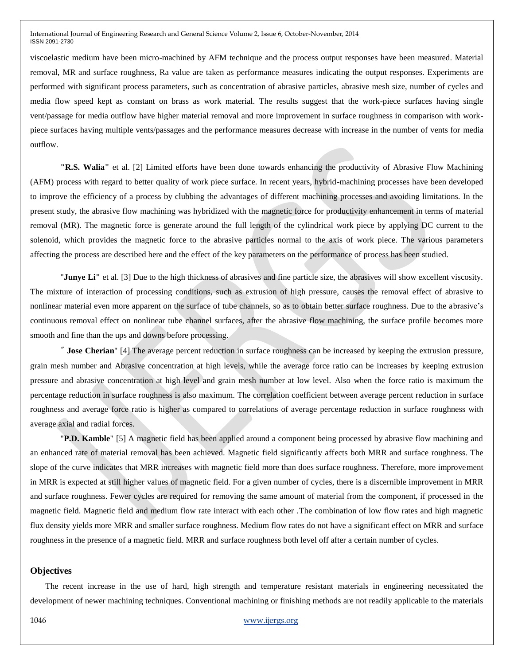viscoelastic medium have been micro-machined by AFM technique and the process output responses have been measured. Material removal, MR and surface roughness, Ra value are taken as performance measures indicating the output responses. Experiments are performed with significant process parameters, such as concentration of abrasive particles, abrasive mesh size, number of cycles and media flow speed kept as constant on brass as work material. The results suggest that the work-piece surfaces having single vent/passage for media outflow have higher material removal and more improvement in surface roughness in comparison with workpiece surfaces having multiple vents/passages and the performance measures decrease with increase in the number of vents for media outflow.

**"R.S. Walia"** et al. [2] Limited efforts have been done towards enhancing the productivity of Abrasive Flow Machining (AFM) process with regard to better quality of work piece surface. In recent years, hybrid-machining processes have been developed to improve the efficiency of a process by clubbing the advantages of different machining processes and avoiding limitations. In the present study, the abrasive flow machining was hybridized with the magnetic force for productivity enhancement in terms of material removal (MR). The magnetic force is generate around the full length of the cylindrical work piece by applying DC current to the solenoid, which provides the magnetic force to the abrasive particles normal to the axis of work piece. The various parameters affecting the process are described here and the effect of the key parameters on the performance of process has been studied.

"**Junye Li"** et al. [3] Due to the high thickness of abrasives and fine particle size, the abrasives will show excellent viscosity. The mixture of interaction of processing conditions, such as extrusion of high pressure, causes the removal effect of abrasive to nonlinear material even more apparent on the surface of tube channels, so as to obtain better surface roughness. Due to the abrasive's continuous removal effect on nonlinear tube channel surfaces, after the abrasive flow machining, the surface profile becomes more smooth and fine than the ups and downs before processing.

" **Jose Cherian**" [4] The average percent reduction in surface roughness can be increased by keeping the extrusion pressure, grain mesh number and Abrasive concentration at high levels, while the average force ratio can be increases by keeping extrusion pressure and abrasive concentration at high level and grain mesh number at low level. Also when the force ratio is maximum the percentage reduction in surface roughness is also maximum. The correlation coefficient between average percent reduction in surface roughness and average force ratio is higher as compared to correlations of average percentage reduction in surface roughness with average axial and radial forces.

"**P.D. Kamble**" [5] A magnetic field has been applied around a component being processed by abrasive flow machining and an enhanced rate of material removal has been achieved. Magnetic field significantly affects both MRR and surface roughness. The slope of the curve indicates that MRR increases with magnetic field more than does surface roughness. Therefore, more improvement in MRR is expected at still higher values of magnetic field. For a given number of cycles, there is a discernible improvement in MRR and surface roughness. Fewer cycles are required for removing the same amount of material from the component, if processed in the magnetic field. Magnetic field and medium flow rate interact with each other .The combination of low flow rates and high magnetic flux density yields more MRR and smaller surface roughness. Medium flow rates do not have a significant effect on MRR and surface roughness in the presence of a magnetic field. MRR and surface roughness both level off after a certain number of cycles.

#### **Objectives**

The recent increase in the use of hard, high strength and temperature resistant materials in engineering necessitated the development of newer machining techniques. Conventional machining or finishing methods are not readily applicable to the materials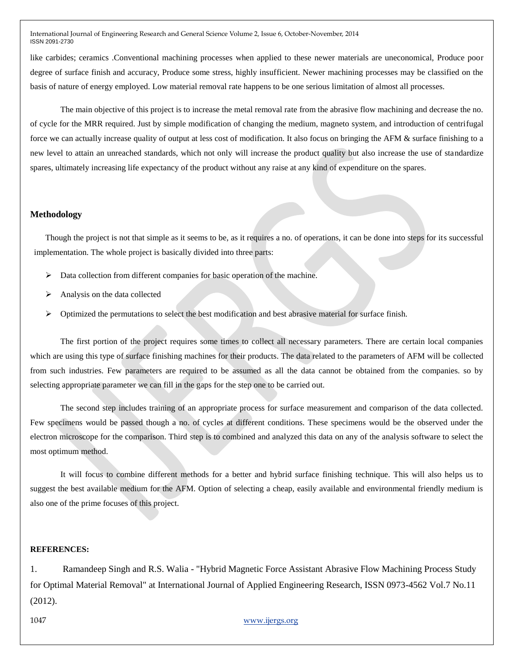like carbides; ceramics .Conventional machining processes when applied to these newer materials are uneconomical, Produce poor degree of surface finish and accuracy, Produce some stress, highly insufficient. Newer machining processes may be classified on the basis of nature of energy employed. Low material removal rate happens to be one serious limitation of almost all processes.

The main objective of this project is to increase the metal removal rate from the abrasive flow machining and decrease the no. of cycle for the MRR required. Just by simple modification of changing the medium, magneto system, and introduction of centrifugal force we can actually increase quality of output at less cost of modification. It also focus on bringing the AFM & surface finishing to a new level to attain an unreached standards, which not only will increase the product quality but also increase the use of standardize spares, ultimately increasing life expectancy of the product without any raise at any kind of expenditure on the spares.

#### **Methodology**

Though the project is not that simple as it seems to be, as it requires a no. of operations, it can be done into steps for its successful implementation. The whole project is basically divided into three parts:

- $\triangleright$  Data collection from different companies for basic operation of the machine.
- Analysis on the data collected
- Optimized the permutations to select the best modification and best abrasive material for surface finish.

The first portion of the project requires some times to collect all necessary parameters. There are certain local companies which are using this type of surface finishing machines for their products. The data related to the parameters of AFM will be collected from such industries. Few parameters are required to be assumed as all the data cannot be obtained from the companies. so by selecting appropriate parameter we can fill in the gaps for the step one to be carried out.

The second step includes training of an appropriate process for surface measurement and comparison of the data collected. Few specimens would be passed though a no. of cycles at different conditions. These specimens would be the observed under the electron microscope for the comparison. Third step is to combined and analyzed this data on any of the analysis software to select the most optimum method.

It will focus to combine different methods for a better and hybrid surface finishing technique. This will also helps us to suggest the best available medium for the AFM. Option of selecting a cheap, easily available and environmental friendly medium is also one of the prime focuses of this project.

### **REFERENCES:**

1. Ramandeep Singh and R.S. Walia - "Hybrid Magnetic Force Assistant Abrasive Flow Machining Process Study for Optimal Material Removal" at International Journal of Applied Engineering Research, ISSN 0973-4562 Vol.7 No.11 (2012).

1047 www.ijergs.org